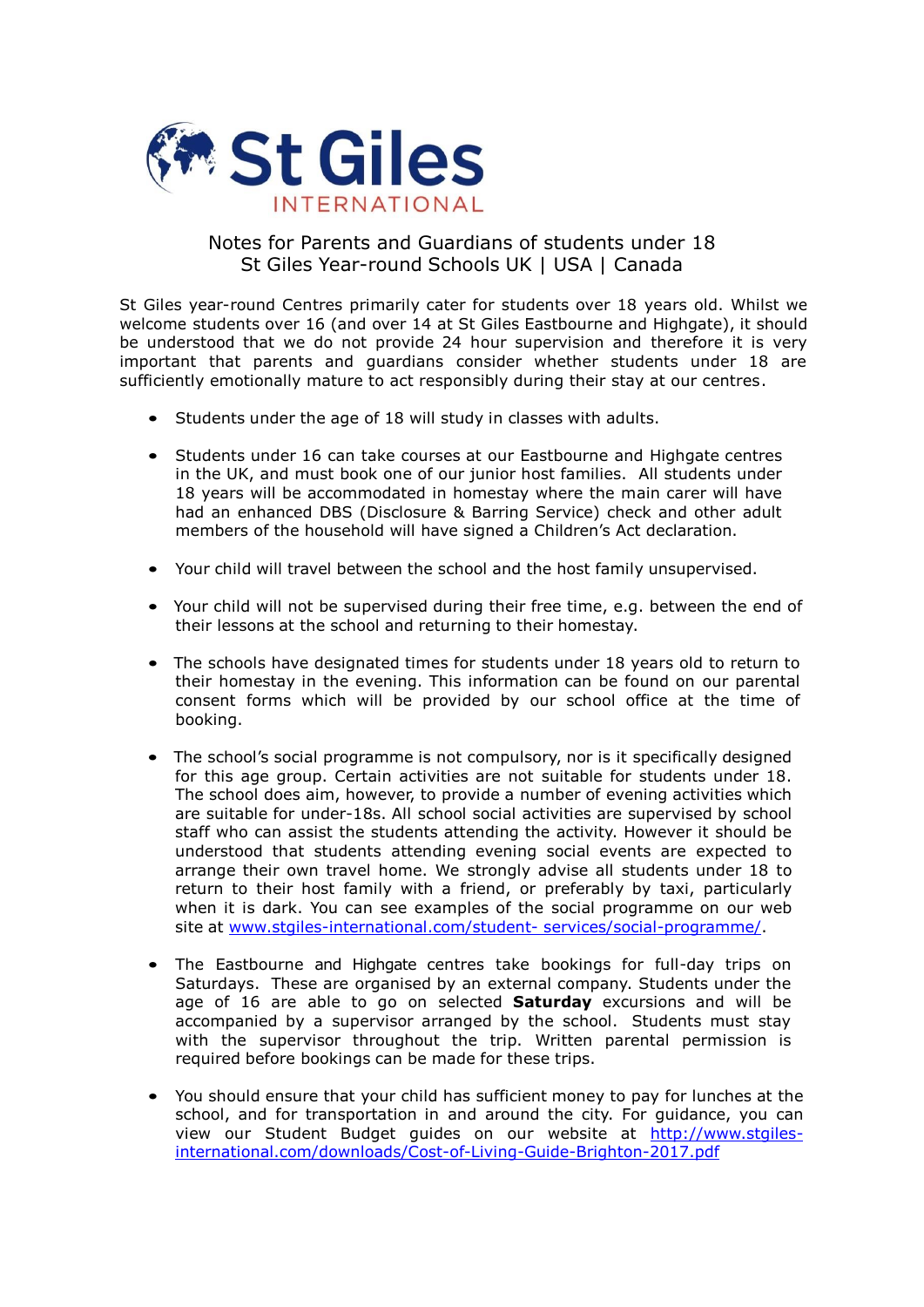

## Notes for Parents and Guardians of students under 18 St Giles Year-round Schools UK | USA | Canada

St Giles year-round Centres primarily cater for students over 18 years old. Whilst we welcome students over 16 (and over 14 at St Giles Eastbourne and Highgate), it should be understood that we do not provide 24 hour supervision and therefore it is very important that parents and guardians consider whether students under 18 are sufficiently emotionally mature to act responsibly during their stay at our centres.

- Students under the age of 18 will study in classes with adults.
- Students under 16 can take courses at our Eastbourne and Highgate centres in the UK, and must book one of our junior host families. All students under 18 years will be accommodated in homestay where the main carer will have had an enhanced DBS (Disclosure & Barring Service) check and other adult members of the household will have signed a Children's Act declaration.
- Your child will travel between the school and the host family unsupervised.
- Your child will not be supervised during their free time, e.g. between the end of their lessons at the school and returning to their homestay.
- The schools have designated times for students under 18 years old to return to their homestay in the evening. This information can be found on our parental consent forms which will be provided by our school office at the time of booking.
- The school's social programme is not compulsory, nor is it specifically designed for this age group. Certain activities are not suitable for students under 18. The school does aim, however, to provide a number of evening activities which are suitable for under-18s. All school social activities are supervised by school staff who can assist the students attending the activity. However it should be understood that students attending evening social events are expected to arrange their own travel home. We strongly advise all students under 18 to return to their host family with a friend, or preferably by taxi, particularly when it is dark. You can see examples of the social programme on our web site at www.stgiles-international.com/student- [services/social-programme/.](http://www.stgiles-international.com/student-services/social-programme/)
- The Eastbourne and Highgate centres take bookings for full-day trips on Saturdays. These are organised by an external company. Students under the age of 16 are able to go on selected **Saturday** excursions and will be accompanied by a supervisor arranged by the school. Students must stay with the supervisor throughout the trip. Written parental permission is required before bookings can be made for these trips.
- You should ensure that your child has sufficient money to pay for lunches at the school, and for transportation in and around the city. For guidance, you can view our Student Budget guides on our website at [http://www.stgiles](http://www.stgiles-international.com/downloads/Cost-of-Living-Guide-Brighton-2017.pdf)[international.com/downloads/Cost-of-Living-Guide-Brighton-2017.pdf](http://www.stgiles-international.com/downloads/Cost-of-Living-Guide-Brighton-2017.pdf)